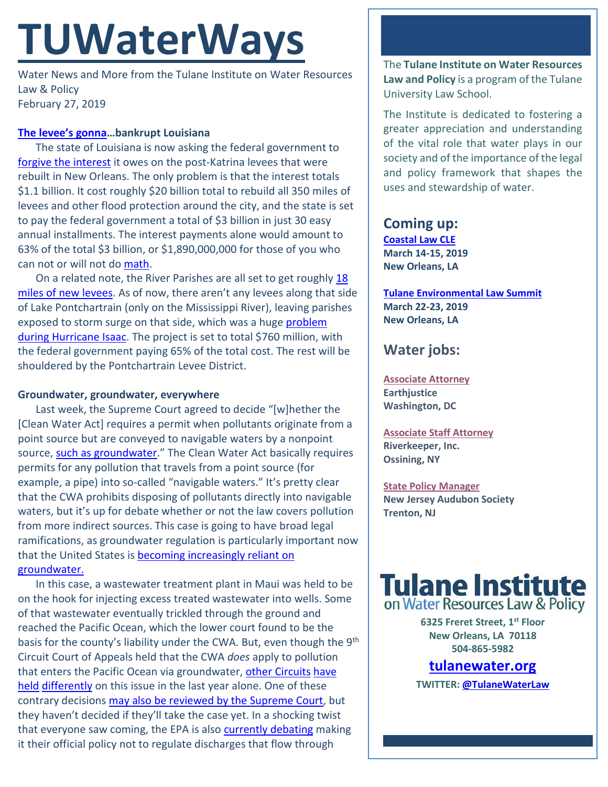# **TUWaterWays**

Water News and More from the Tulane Institute on Water Resources Law & Policy February 27, 2019

### **[The levee's gonna…](https://www.youtube.com/watch?v=3DEPbD9dOD8)bankrupt Louisiana**

The state of Louisiana is now asking the federal government to [forgive the interest](https://www.nola.com/environment/2019/02/state-wants-feds-to-write-off-interest-in-debt-for-new-orleans-area-levee-system.html) it owes on the post-Katrina levees that were rebuilt in New Orleans. The only problem is that the interest totals \$1.1 billion. It cost roughly \$20 billion total to rebuild all 350 miles of levees and other flood protection around the city, and the state is set to pay the federal government a total of \$3 billion in just 30 easy annual installments. The interest payments alone would amount to 63% of the total \$3 billion, or \$1,890,000,000 for those of you who can not or will not d[o math.](https://vimeo.com/65921206)

On a related note, the River Parishes are all set to get roughly 18 [miles of new levees.](https://www.wwno.org/post/officials-finalize-new-levee-project-friday) As of now, there aren't any levees along that side of Lake Pontchartrain (only on the Mississippi River), leaving parishes exposed to storm surge on that side, which was a huge problem [during Hurricane Isaac.](https://www.nola.com/hurricane/2012/08/hurricane_isaac_floodwaters_ta.html) The project is set to total \$760 million, with the federal government paying 65% of the total cost. The rest will be shouldered by the Pontchartrain Levee District.

#### **Groundwater, groundwater, everywhere**

Last week, the Supreme Court agreed to decide "[w]hether the [Clean Water Act] requires a permit when pollutants originate from a point source but are conveyed to navigable waters by a nonpoint source, [such as groundwater.](https://www.supremecourt.gov/DocketPDF/18/18-260/60761/20180827131611315_Maui_Petition.pdf)" The Clean Water Act basically requires permits for any pollution that travels from a point source (for example, a pipe) into so-called "navigable waters." It's pretty clear that the CWA prohibits disposing of pollutants directly into navigable waters, but it's up for debate whether or not the law covers pollution from more indirect sources. This case is going to have broad legal ramifications, as groundwater regulation is particularly important now that the United States is [becoming increasingly reliant on](https://news.wfsu.org/post/uf-researchers-say-people-are-moving-away-lakes-and-rivers)  [groundwater.](https://news.wfsu.org/post/uf-researchers-say-people-are-moving-away-lakes-and-rivers)

In this case, a wastewater treatment plant in Maui was held to be on the hook for injecting excess treated wastewater into wells. Some of that wastewater eventually trickled through the ground and reached the Pacific Ocean, which the lower court found to be the basis for the county's liability under the CWA. But, even though the 9<sup>th</sup> Circuit Court of Appeals held that the CWA *does* apply to pollution that enters the Pacific Ocean via groundwater, [other Circuits](http://www.opn.ca6.uscourts.gov/opinions.pdf/18a0213p-06.pdf) have [held](http://www.opn.ca6.uscourts.gov/opinions.pdf/18a0214p-06.pdf) [differently](http://www.ca4.uscourts.gov/opinions/171640.p.pdf) on this issue in the last year alone. One of these contrary decisions [may also be reviewed by the Supreme Court,](https://www.supremecourt.gov/search.aspx?filename=/docket/docketfiles/html/public/18-268.html) but they haven't decided if they'll take the case yet. In a shocking twist that everyone saw coming, the EPA is also [currently debating](https://www.federalregister.gov/documents/2018/02/20/2018-03407/clean-water-act-coverage-of-discharges-of-pollutants-via-a-direct-hydrologic-connection-to-surface) making it their official policy not to regulate discharges that flow through

The **Tulane Institute on Water Resources Law and Policy** is a program of the Tulane University Law School.

The Institute is dedicated to fostering a greater appreciation and understanding of the vital role that water plays in our society and of the importance of the legal and policy framework that shapes the uses and stewardship of water.

## **Coming up:**

**[Coastal Law CLE](https://www.theseminargroup.net/seminardetl.aspx?id=19.shrNO) March 14-15, 2019 New Orleans, LA**

**[Tulane Environmental Law Summit](https://tulaneenvironmentallawsummit.com/) March 22-23, 2019 New Orleans, LA**

# **Water jobs:**

**[Associate Attorney](https://jobs.jobvite.com/careers/earthjustice/job/ohCk9fw6) Earthjustice Washington, DC**

**[Associate Staff Attorney](https://www.indeed.com/cmp/Riverkeeper,-Inc./jobs/Associate-Staff-Attorney-49fab0dcfecb9aaa?q=%22watershed%22&vjs=3) Riverkeeper, Inc. Ossining, NY**

**[State Policy Manager](https://www.joshswaterjobs.com/jobs/13342) New Jersey Audubon Society Trenton, NJ**



**6325 Freret Street, 1st Floor New Orleans, LA 70118 504-865-5982** 

# **tulanewater.org**

**TWITTER[: @TulaneWaterLaw](http://www.twitter.com/TulaneWaterLaw)**